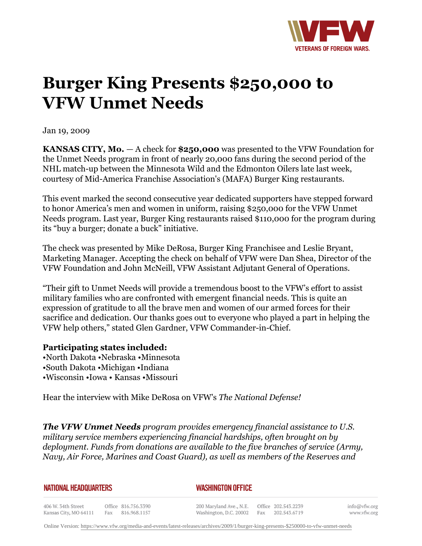

## **Burger King Presents \$250,000 to VFW Unmet Needs**

Jan 19, 2009

**KANSAS CITY, Mo.** *—* A check for **\$250,000** was presented to the VFW Foundation for the Unmet Needs program in front of nearly 20,000 fans during the second period of the NHL match-up between the Minnesota Wild and the Edmonton Oilers late last week, courtesy of Mid-America Franchise Association's (MAFA) Burger King restaurants.

This event marked the second consecutive year dedicated supporters have stepped forward to honor America's men and women in uniform, raising \$250,000 for the VFW Unmet Needs program. Last year, Burger King restaurants raised \$110,000 for the program during its "buy a burger; donate a buck" initiative.

The check was presented by Mike DeRosa, Burger King Franchisee and Leslie Bryant, Marketing Manager. Accepting the check on behalf of VFW were Dan Shea, Director of the VFW Foundation and John McNeill, VFW Assistant Adjutant General of Operations.

"Their gift to Unmet Needs will provide a tremendous boost to the VFW's effort to assist military families who are confronted with emergent financial needs. This is quite an expression of gratitude to all the brave men and women of our armed forces for their sacrifice and dedication. Our thanks goes out to everyone who played a part in helping the VFW help others," stated Glen Gardner, VFW Commander-in-Chief.

## **Participating states included:**

•North Dakota •Nebraska •Minnesota •South Dakota •Michigan •Indiana •Wisconsin •Iowa • Kansas •Missouri

Hear the interview with Mike DeRosa on VFW's *The National Defense!*

*The VFW Unmet Needs program provides emergency financial assistance to U.S. military service members experiencing financial hardships, often brought on by deployment. Funds from donations are available to the five branches of service (Army, Navy, Air Force, Marines and Coast Guard), as well as members of the Reserves and*

## **NATIONAL HEADQUARTERS**

## *WASHINGTON OFFICE*

406 W. 34th Street Office 816.756.3390 Fax 816.968.1157 Kansas City, MO 64111

200 Maryland Ave., N.E. Washington, D.C. 20002 Fax 202.543.6719

Office 202.543.2239

info@vfw.org www.vfw.org

Online Version: [https://www.vfw.org/media-and-events/latest-releases/archives/2009/1/burger-king-presents-\\$250000-to-vfw-unmet-needs](https://www.vfw.org/media-and-events/latest-releases/archives/2009/1/burger-king-presents-$250000-to-vfw-unmet-needs)